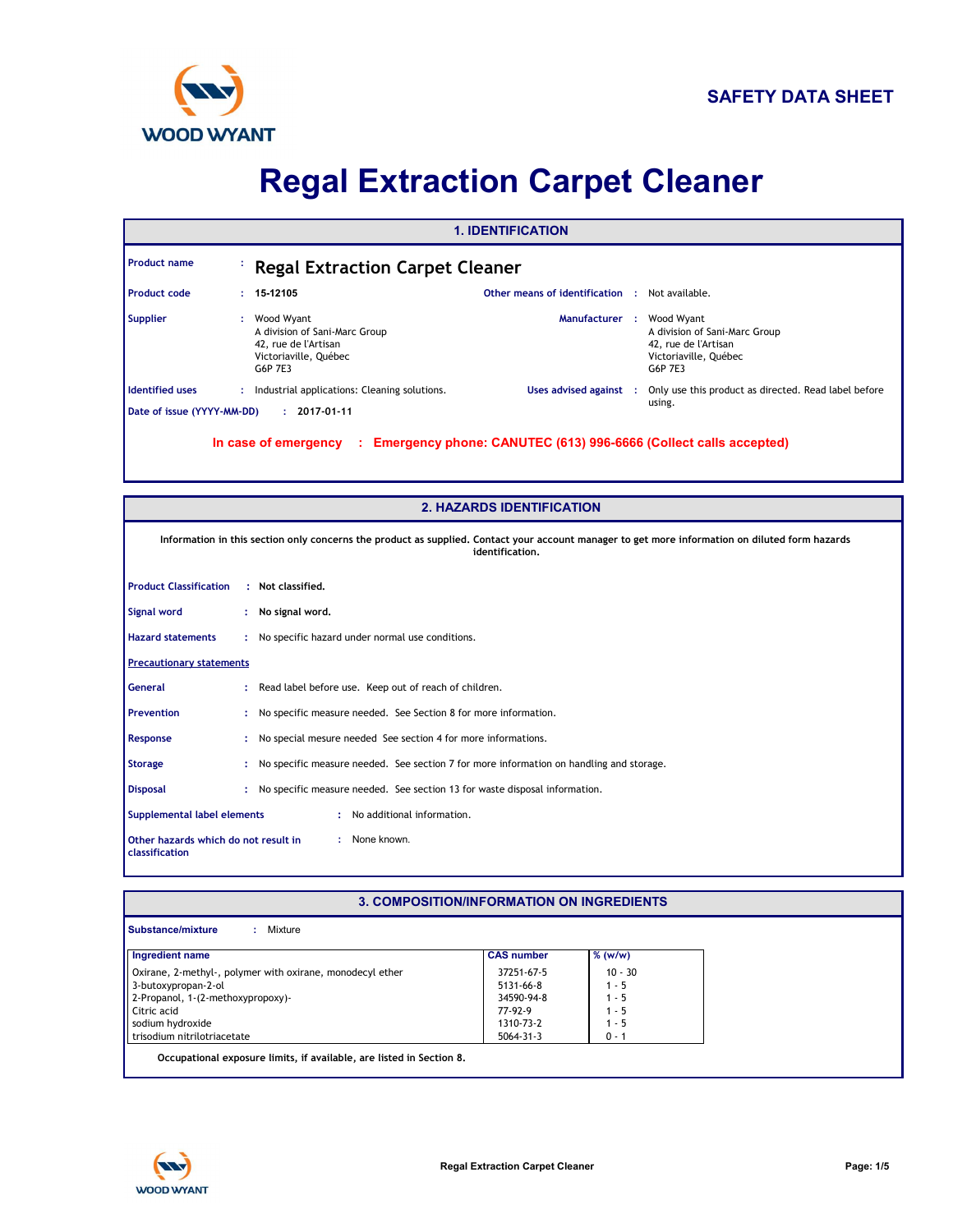

# **Regal Extraction Carpet Cleaner**

|                            |    |                                                                                                         | <b>1. IDENTIFICATION</b>                                         |  |                                                                                                         |
|----------------------------|----|---------------------------------------------------------------------------------------------------------|------------------------------------------------------------------|--|---------------------------------------------------------------------------------------------------------|
| <b>Product name</b>        |    | <b>Regal Extraction Carpet Cleaner</b>                                                                  |                                                                  |  |                                                                                                         |
| Product code               |    | $: 15-12105$                                                                                            | <b>Other means of identification : Not available.</b>            |  |                                                                                                         |
| <b>Supplier</b>            | ÷. | Wood Wyant<br>A division of Sani-Marc Group<br>42, rue de l'Artisan<br>Victoriaville, Québec<br>G6P 7E3 | Manufacturer :                                                   |  | Wood Wyant<br>A division of Sani-Marc Group<br>42, rue de l'Artisan<br>Victoriaville, Québec<br>G6P 7E3 |
| <b>Identified uses</b>     |    | : Industrial applications: Cleaning solutions.                                                          | Uses advised against :                                           |  | Only use this product as directed. Read label before                                                    |
| Date of issue (YYYY-MM-DD) |    | $: 2017 - 01 - 11$                                                                                      |                                                                  |  | using.                                                                                                  |
|                            |    | In case of emergency<br>п.,                                                                             | Emergency phone: CANUTEC (613) 996-6666 (Collect calls accepted) |  |                                                                                                         |

|                                                        | <b>2. HAZARDS IDENTIFICATION</b>                                                                                                                                   |
|--------------------------------------------------------|--------------------------------------------------------------------------------------------------------------------------------------------------------------------|
|                                                        | Information in this section only concerns the product as supplied. Contact your account manager to get more information on diluted form hazards<br>identification. |
| <b>Product Classification</b>                          | : Not classified.                                                                                                                                                  |
| Signal word                                            | : No signal word.                                                                                                                                                  |
| <b>Hazard statements</b>                               | : No specific hazard under normal use conditions.                                                                                                                  |
| <b>Precautionary statements</b>                        |                                                                                                                                                                    |
| <b>General</b>                                         | : Read label before use. Keep out of reach of children.                                                                                                            |
| <b>Prevention</b>                                      | : No specific measure needed. See Section 8 for more information.                                                                                                  |
| Response                                               | : No special mesure needed See section 4 for more informations.                                                                                                    |
| <b>Storage</b>                                         | No specific measure needed. See section 7 for more information on handling and storage.                                                                            |
| <b>Disposal</b>                                        | No specific measure needed. See section 13 for waste disposal information.                                                                                         |
| Supplemental label elements                            | : No additional information.                                                                                                                                       |
| Other hazards which do not result in<br>classification | : None known.                                                                                                                                                      |

#### **3. COMPOSITION/INFORMATION ON INGREDIENTS**

| Ingredient name                                           | <b>CAS number</b> | % (w/w)   |
|-----------------------------------------------------------|-------------------|-----------|
| Oxirane, 2-methyl-, polymer with oxirane, monodecyl ether | 37251-67-5        | $10 - 30$ |
| 3-butoxypropan-2-ol                                       | 5131-66-8         | 1 - 5     |
| 2-Propanol, 1-(2-methoxypropoxy)-                         | 34590-94-8        | $1 - 5$   |
| Citric acid                                               | 77-92-9           | 1 - 5     |
| sodium hydroxide                                          | 1310-73-2         | 1 - 5     |
| trisodium nitrilotriacetate                               | 5064-31-3         | $0 - 1$   |

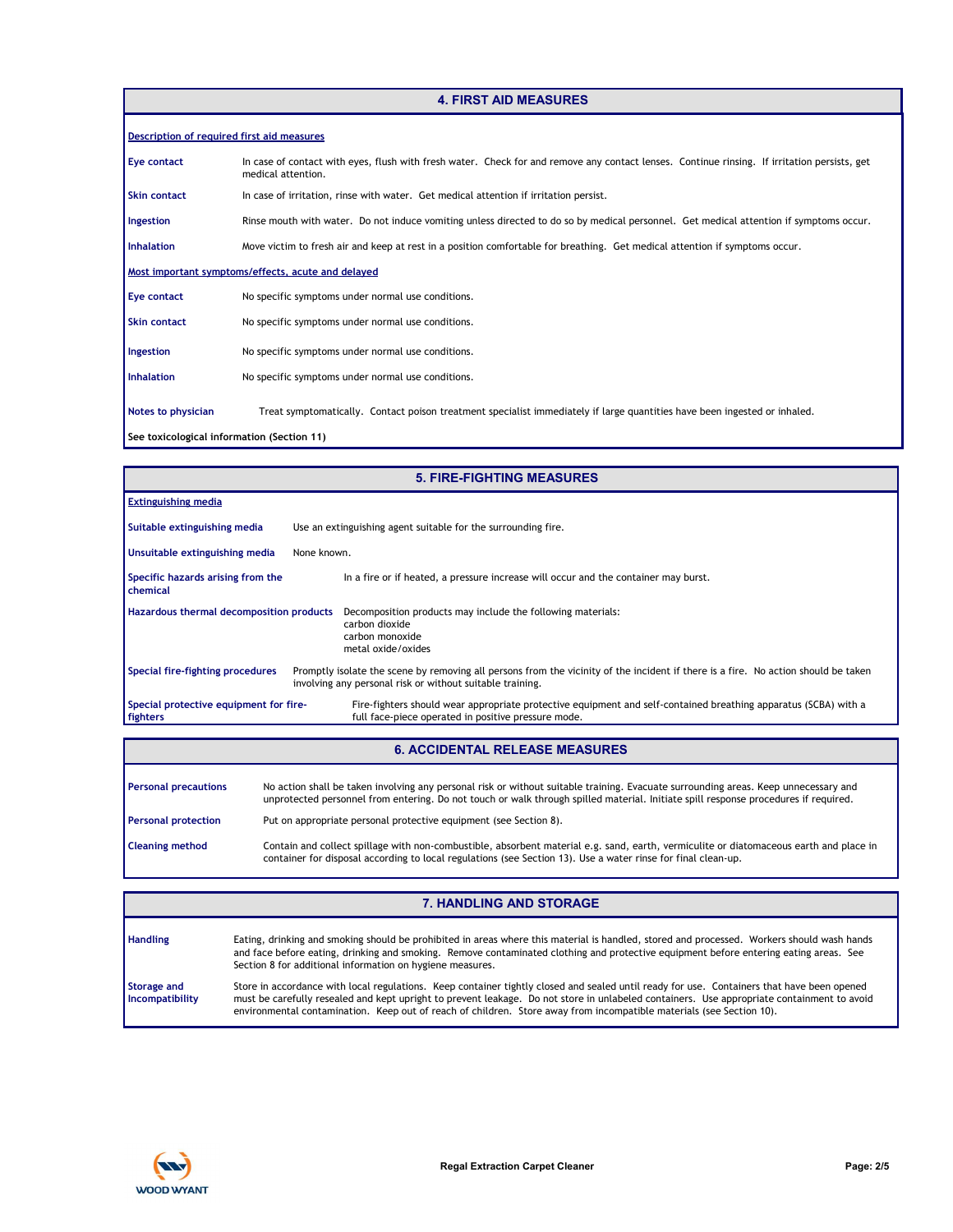# **4. FIRST AID MEASURES**

| Description of required first aid measures |                                                                                                                                                                    |
|--------------------------------------------|--------------------------------------------------------------------------------------------------------------------------------------------------------------------|
| Eye contact                                | In case of contact with eyes, flush with fresh water. Check for and remove any contact lenses. Continue rinsing. If irritation persists, get<br>medical attention. |
| Skin contact                               | In case of irritation, rinse with water. Get medical attention if irritation persist.                                                                              |
| Ingestion                                  | Rinse mouth with water. Do not induce vomiting unless directed to do so by medical personnel. Get medical attention if symptoms occur.                             |
| <b>Inhalation</b>                          | Move victim to fresh air and keep at rest in a position comfortable for breathing. Get medical attention if symptoms occur.                                        |
|                                            | Most important symptoms/effects, acute and delayed                                                                                                                 |
| Eye contact                                | No specific symptoms under normal use conditions.                                                                                                                  |
| <b>Skin contact</b>                        | No specific symptoms under normal use conditions.                                                                                                                  |
| Ingestion                                  | No specific symptoms under normal use conditions.                                                                                                                  |
| <b>Inhalation</b>                          | No specific symptoms under normal use conditions.                                                                                                                  |
| Notes to physician                         | Treat symptomatically. Contact poison treatment specialist immediately if large quantities have been ingested or inhaled.                                          |
| See toxicological information (Section 11) |                                                                                                                                                                    |

|                                                    | <b>5. FIRE-FIGHTING MEASURES</b>                                                                                                                                                                |
|----------------------------------------------------|-------------------------------------------------------------------------------------------------------------------------------------------------------------------------------------------------|
| <b>Extinguishing media</b>                         |                                                                                                                                                                                                 |
| Suitable extinguishing media                       | Use an extinguishing agent suitable for the surrounding fire.                                                                                                                                   |
| Unsuitable extinguishing media                     | None known.                                                                                                                                                                                     |
| Specific hazards arising from the<br>chemical      | In a fire or if heated, a pressure increase will occur and the container may burst.                                                                                                             |
| <b>Hazardous thermal decomposition products</b>    | Decomposition products may include the following materials:<br>carbon dioxide<br>carbon monoxide<br>metal oxide/oxides                                                                          |
| Special fire-fighting procedures                   | Promptly isolate the scene by removing all persons from the vicinity of the incident if there is a fire. No action should be taken<br>involving any personal risk or without suitable training. |
| Special protective equipment for fire-<br>fighters | Fire-fighters should wear appropriate protective equipment and self-contained breathing apparatus (SCBA) with a<br>full face-piece operated in positive pressure mode.                          |

### **6. ACCIDENTAL RELEASE MEASURES**

| <b>Personal precautions</b> | No action shall be taken involving any personal risk or without suitable training. Evacuate surrounding areas. Keep unnecessary and<br>unprotected personnel from entering. Do not touch or walk through spilled material. Initiate spill response procedures if required. |
|-----------------------------|----------------------------------------------------------------------------------------------------------------------------------------------------------------------------------------------------------------------------------------------------------------------------|
| <b>Personal protection</b>  | Put on appropriate personal protective equipment (see Section 8).                                                                                                                                                                                                          |
| <b>Cleaning method</b>      | Contain and collect spillage with non-combustible, absorbent material e.g. sand, earth, vermiculite or diatomaceous earth and place in<br>container for disposal according to local regulations (see Section 13). Use a water rinse for final clean-up.                    |

|                                | <b>7. HANDLING AND STORAGE</b>                                                                                                                                                                                                                                                                                                                                                                                   |
|--------------------------------|------------------------------------------------------------------------------------------------------------------------------------------------------------------------------------------------------------------------------------------------------------------------------------------------------------------------------------------------------------------------------------------------------------------|
| <b>Handling</b>                | Eating, drinking and smoking should be prohibited in areas where this material is handled, stored and processed. Workers should wash hands<br>and face before eating, drinking and smoking. Remove contaminated clothing and protective equipment before entering eating areas. See<br>Section 8 for additional information on hygiene measures.                                                                 |
| Storage and<br>Incompatibility | Store in accordance with local regulations. Keep container tightly closed and sealed until ready for use. Containers that have been opened<br>must be carefully resealed and kept upright to prevent leakage. Do not store in unlabeled containers. Use appropriate containment to avoid<br>environmental contamination. Keep out of reach of children. Store away from incompatible materials (see Section 10). |

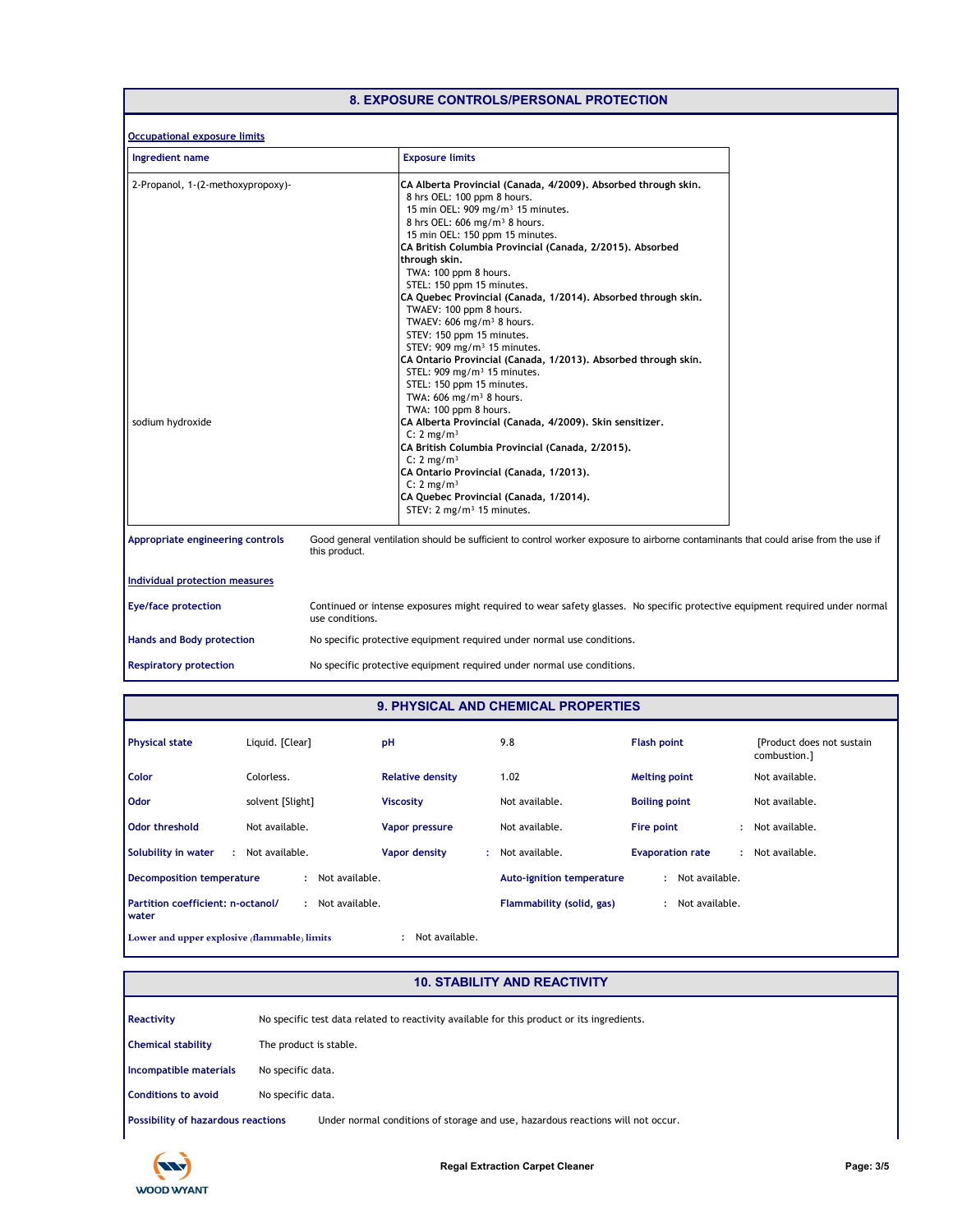|                                                       | <b>8. EXPOSURE CONTROLS/PERSONAL PROTECTION</b>                                                                                                                                                                                                                                                                                                                                                                                                                                                                                                                                                                                                                                                                                                                                                                                                                                                                                                                                                                                                                                                                         |
|-------------------------------------------------------|-------------------------------------------------------------------------------------------------------------------------------------------------------------------------------------------------------------------------------------------------------------------------------------------------------------------------------------------------------------------------------------------------------------------------------------------------------------------------------------------------------------------------------------------------------------------------------------------------------------------------------------------------------------------------------------------------------------------------------------------------------------------------------------------------------------------------------------------------------------------------------------------------------------------------------------------------------------------------------------------------------------------------------------------------------------------------------------------------------------------------|
| <b>Occupational exposure limits</b>                   |                                                                                                                                                                                                                                                                                                                                                                                                                                                                                                                                                                                                                                                                                                                                                                                                                                                                                                                                                                                                                                                                                                                         |
| Ingredient name                                       | <b>Exposure limits</b>                                                                                                                                                                                                                                                                                                                                                                                                                                                                                                                                                                                                                                                                                                                                                                                                                                                                                                                                                                                                                                                                                                  |
| 2-Propanol, 1-(2-methoxypropoxy)-<br>sodium hydroxide | CA Alberta Provincial (Canada, 4/2009). Absorbed through skin.<br>8 hrs OEL: 100 ppm 8 hours.<br>15 min OEL: 909 mg/m <sup>3</sup> 15 minutes.<br>8 hrs OEL: 606 mg/m <sup>3</sup> 8 hours.<br>15 min OEL: 150 ppm 15 minutes.<br>CA British Columbia Provincial (Canada, 2/2015), Absorbed<br>through skin.<br>TWA: 100 ppm 8 hours.<br>STEL: 150 ppm 15 minutes.<br>CA Quebec Provincial (Canada, 1/2014). Absorbed through skin.<br>TWAEV: 100 ppm 8 hours.<br>TWAEV: 606 mg/m <sup>3</sup> 8 hours.<br>STEV: 150 ppm 15 minutes.<br>STEV: 909 mg/m <sup>3</sup> 15 minutes.<br>CA Ontario Provincial (Canada, 1/2013). Absorbed through skin.<br>STEL: 909 mg/m <sup>3</sup> 15 minutes.<br>STEL: 150 ppm 15 minutes.<br>TWA: $606$ mg/m <sup>3</sup> 8 hours.<br>TWA: 100 ppm 8 hours.<br>CA Alberta Provincial (Canada, 4/2009). Skin sensitizer.<br>C: 2 mg/m <sup>3</sup><br>CA British Columbia Provincial (Canada, 2/2015).<br>C: 2 mg/m <sup>3</sup><br>CA Ontario Provincial (Canada, 1/2013).<br>C: 2 mg/m <sup>3</sup><br>CA Quebec Provincial (Canada, 1/2014).<br>STEV: 2 mg/m <sup>3</sup> 15 minutes. |
| Appropriate engineering controls                      | Good general ventilation should be sufficient to control worker exposure to airborne contaminants that could arise from the use if<br>this product.                                                                                                                                                                                                                                                                                                                                                                                                                                                                                                                                                                                                                                                                                                                                                                                                                                                                                                                                                                     |
| <b>Individual protection measures</b>                 |                                                                                                                                                                                                                                                                                                                                                                                                                                                                                                                                                                                                                                                                                                                                                                                                                                                                                                                                                                                                                                                                                                                         |
| <b>Eye/face protection</b>                            | Continued or intense exposures might required to wear safety glasses. No specific protective equipment required under normal<br>use conditions.                                                                                                                                                                                                                                                                                                                                                                                                                                                                                                                                                                                                                                                                                                                                                                                                                                                                                                                                                                         |
| <b>Hands and Body protection</b>                      | No specific protective equipment required under normal use conditions.                                                                                                                                                                                                                                                                                                                                                                                                                                                                                                                                                                                                                                                                                                                                                                                                                                                                                                                                                                                                                                                  |
| <b>Respiratory protection</b>                         | No specific protective equipment required under normal use conditions.                                                                                                                                                                                                                                                                                                                                                                                                                                                                                                                                                                                                                                                                                                                                                                                                                                                                                                                                                                                                                                                  |

## **9. PHYSICAL AND CHEMICAL PROPERTIES**

| <b>Physical state</b>                               | Liquid. [Clear]     | pH                      | 9.8                              | <b>Flash point</b>      | [Product does not sustain]<br>combustion.] |
|-----------------------------------------------------|---------------------|-------------------------|----------------------------------|-------------------------|--------------------------------------------|
| <b>Color</b>                                        | Colorless.          | <b>Relative density</b> | 1.02                             | <b>Melting point</b>    | Not available.                             |
| Odor                                                | solvent [Slight]    | <b>Viscosity</b>        | Not available.                   | <b>Boiling point</b>    | Not available.                             |
| Odor threshold                                      | Not available.      | <b>Vapor pressure</b>   | Not available.                   | Fire point              | Not available.                             |
| Solubility in water                                 | : Not available.    | Vapor density<br>÷.     | Not available.                   | <b>Evaporation rate</b> | : Not available.                           |
| Decomposition temperature                           | Not available.      |                         | <b>Auto-ignition temperature</b> | Not available.          |                                            |
| Partition coefficient: n-octanol/<br><b>I</b> water | Not available.<br>÷ |                         | Flammability (solid, gas)        | Not available.          |                                            |
| Lower and upper explosive (flammable) limits        |                     | Not available.          |                                  |                         |                                            |

# **10. STABILITY AND REACTIVITY**

| <b>Reactivity</b>                         | No specific test data related to reactivity available for this product or its ingredients. |
|-------------------------------------------|--------------------------------------------------------------------------------------------|
| <b>Chemical stability</b>                 | The product is stable.                                                                     |
| Incompatible materials                    | No specific data.                                                                          |
| <b>Conditions to avoid</b>                | No specific data.                                                                          |
| <b>Possibility of hazardous reactions</b> | Under normal conditions of storage and use, hazardous reactions will not occur.            |

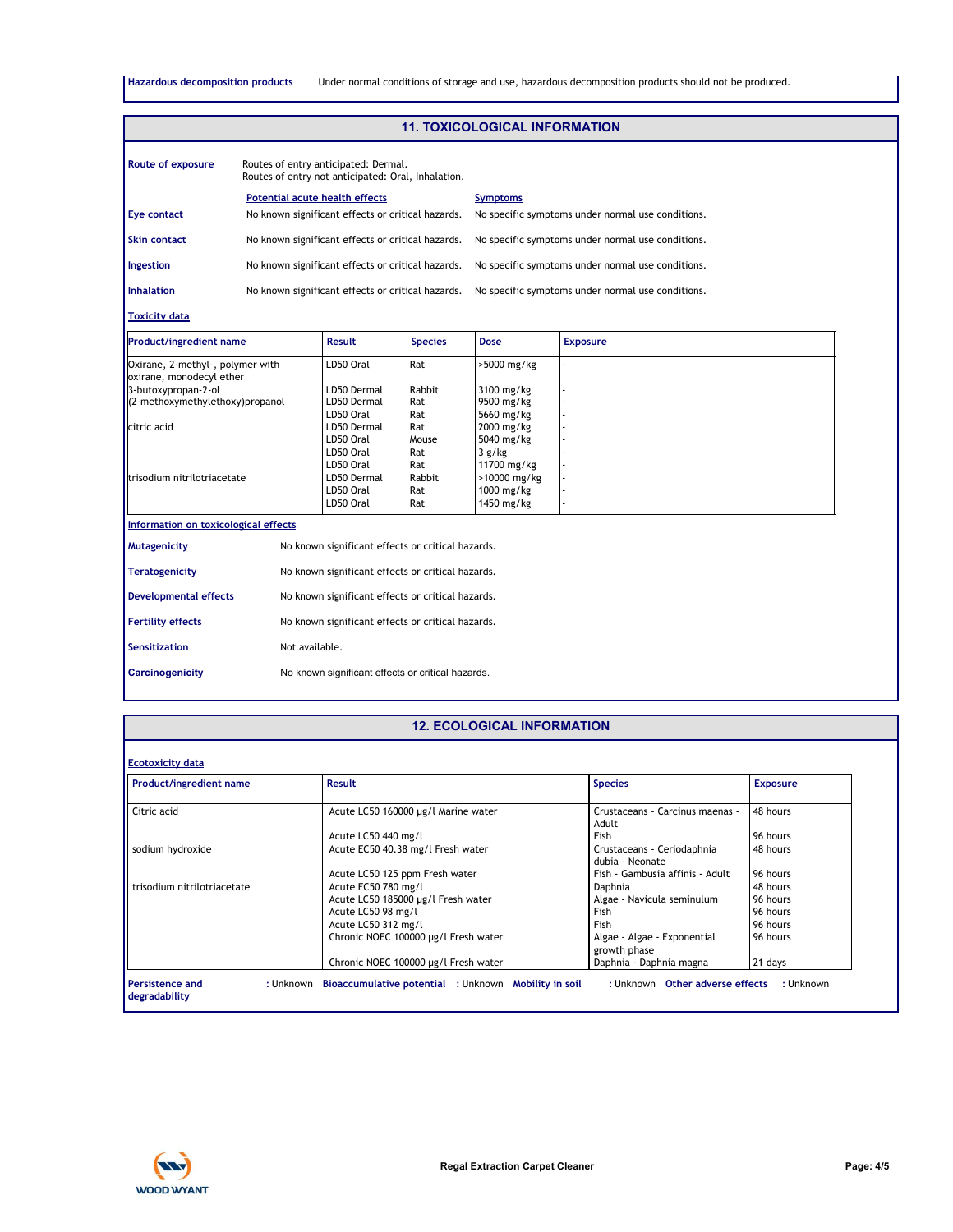**Hazardous decomposition products** Under normal conditions of storage and use, hazardous decomposition products should not be produced.

|                                                                          |                                       |                                                                                            |                                                   | <b>11. TOXICOLOGICAL INFORMATION</b>                    |                                                   |  |
|--------------------------------------------------------------------------|---------------------------------------|--------------------------------------------------------------------------------------------|---------------------------------------------------|---------------------------------------------------------|---------------------------------------------------|--|
| <b>Route of exposure</b>                                                 |                                       | Routes of entry anticipated: Dermal.<br>Routes of entry not anticipated: Oral, Inhalation. |                                                   |                                                         |                                                   |  |
|                                                                          | <b>Potential acute health effects</b> |                                                                                            |                                                   | <b>Symptoms</b>                                         |                                                   |  |
| Eye contact                                                              |                                       | No known significant effects or critical hazards.                                          |                                                   |                                                         | No specific symptoms under normal use conditions. |  |
| No known significant effects or critical hazards.<br><b>Skin contact</b> |                                       |                                                                                            | No specific symptoms under normal use conditions. |                                                         |                                                   |  |
| No known significant effects or critical hazards.<br>Ingestion           |                                       |                                                                                            | No specific symptoms under normal use conditions. |                                                         |                                                   |  |
| <b>Inhalation</b>                                                        |                                       | No known significant effects or critical hazards.                                          |                                                   |                                                         | No specific symptoms under normal use conditions. |  |
| <b>Toxicity data</b>                                                     |                                       |                                                                                            |                                                   |                                                         |                                                   |  |
| <b>Product/ingredient name</b>                                           |                                       | <b>Result</b>                                                                              | <b>Species</b>                                    | <b>Dose</b>                                             | <b>Exposure</b>                                   |  |
| Oxirane, 2-methyl-, polymer with<br>oxirane, monodecyl ether             |                                       | LD50 Oral                                                                                  | Rat                                               | >5000 mg/kg                                             |                                                   |  |
| 3-butoxypropan-2-ol<br>(2-methoxymethylethoxy)propanol                   |                                       | LD50 Dermal<br>LD50 Dermal                                                                 | Rabbit<br>Rat                                     | 3100 mg/kg<br>9500 mg/kg                                |                                                   |  |
| citric acid                                                              |                                       | LD50 Oral<br>LD50 Dermal<br>LD50 Oral<br>LD50 Oral                                         | Rat<br>Rat<br>Mouse<br>Rat                        | 5660 mg/kg<br>2000 mg/kg<br>5040 mg/kg<br>3 g/kg        |                                                   |  |
| trisodium nitrilotriacetate                                              |                                       | LD50 Oral<br>LD50 Dermal<br>LD50 Oral<br>LD50 Oral                                         | Rat<br>Rabbit<br>Rat<br>Rat                       | 11700 mg/kg<br>>10000 mg/kg<br>1000 mg/kg<br>1450 mg/kg |                                                   |  |
| Information on toxicological effects                                     |                                       |                                                                                            |                                                   |                                                         |                                                   |  |
| Mutagenicity                                                             |                                       | No known significant effects or critical hazards.                                          |                                                   |                                                         |                                                   |  |
| <b>Teratogenicity</b>                                                    |                                       | No known significant effects or critical hazards.                                          |                                                   |                                                         |                                                   |  |
| <b>Developmental effects</b>                                             |                                       | No known significant effects or critical hazards.                                          |                                                   |                                                         |                                                   |  |
| <b>Fertility effects</b>                                                 |                                       | No known significant effects or critical hazards.                                          |                                                   |                                                         |                                                   |  |
| Sensitization                                                            | Not available.                        |                                                                                            |                                                   |                                                         |                                                   |  |
| <b>Carcinogenicity</b>                                                   |                                       | No known significant effects or critical hazards.                                          |                                                   |                                                         |                                                   |  |

#### **12. ECOLOGICAL INFORMATION**

| <b>Product/ingredient name</b> | <b>Result</b>                        | <b>Species</b>                                | <b>Exposure</b> |
|--------------------------------|--------------------------------------|-----------------------------------------------|-----------------|
| Citric acid                    | Acute LC50 160000 µg/l Marine water  | Crustaceans - Carcinus maenas -<br>Adult      | 48 hours        |
|                                | Acute LC50 440 mg/l                  | <b>Fish</b>                                   | 96 hours        |
| sodium hydroxide               | Acute EC50 40.38 mg/l Fresh water    | Crustaceans - Ceriodaphnia<br>dubia - Neonate | 48 hours        |
|                                | Acute LC50 125 ppm Fresh water       | Fish - Gambusia affinis - Adult               | 96 hours        |
| trisodium nitrilotriacetate    | Acute EC50 780 mg/l                  | Daphnia                                       | 48 hours        |
|                                | Acute LC50 185000 µg/l Fresh water   | Algae - Navicula seminulum                    | 96 hours        |
|                                | Acute LC50 98 mg/l                   | Fish                                          | 96 hours        |
|                                | Acute LC50 312 mg/l                  | Fish                                          | 96 hours        |
|                                | Chronic NOEC 100000 µg/l Fresh water | Algae - Algae - Exponential<br>growth phase   | 96 hours        |
|                                | Chronic NOEC 100000 µg/l Fresh water | Daphnia - Daphnia magna                       | 21 days         |